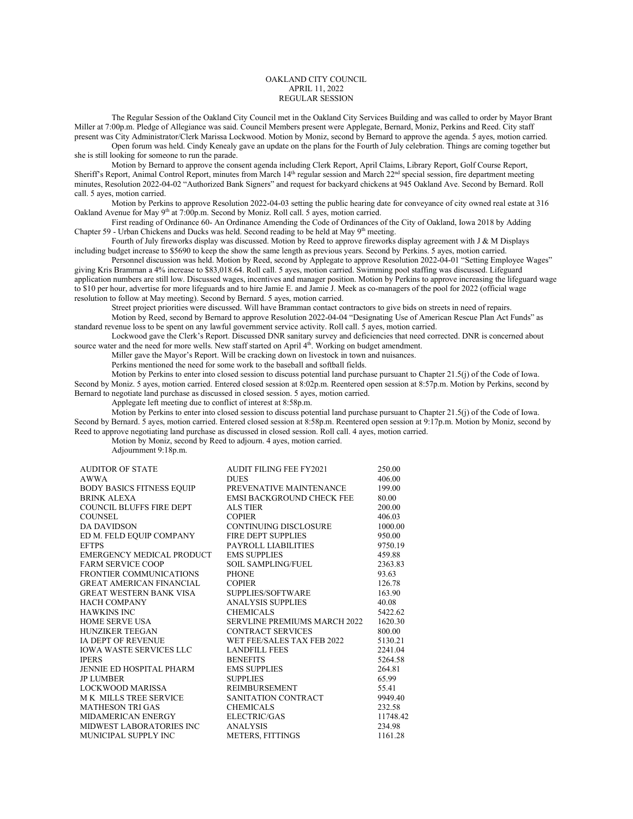## OAKLAND CITY COUNCIL APRIL 11, 2022 REGULAR SESSION

The Regular Session of the Oakland City Council met in the Oakland City Services Building and was called to order by Mayor Brant Miller at 7:00p.m. Pledge of Allegiance was said. Council Members present were Applegate, Bernard, Moniz, Perkins and Reed. City staff present was City Administrator/Clerk Marissa Lockwood. Motion by Moniz, second by Bernard to approve the agenda. 5 ayes, motion carried.

Open forum was held. Cindy Kenealy gave an update on the plans for the Fourth of July celebration. Things are coming together but she is still looking for someone to run the parade.

Motion by Bernard to approve the consent agenda including Clerk Report, April Claims, Library Report, Golf Course Report, Sheriff's Report, Animal Control Report, minutes from March 14<sup>th</sup> regular session and March 22<sup>nd</sup> special session, fire department meeting minutes, Resolution 2022-04-02 "Authorized Bank Signers" and request for backyard chickens at 945 Oakland Ave. Second by Bernard. Roll call. 5 ayes, motion carried.

Motion by Perkins to approve Resolution 2022-04-03 setting the public hearing date for conveyance of city owned real estate at 316 Oakland Avenue for May 9<sup>th</sup> at 7:00p.m. Second by Moniz. Roll call. 5 ayes, motion carried.

First reading of Ordinance 60- An Ordinance Amending the Code of Ordinances of the City of Oakland, Iowa 2018 by Adding Chapter 59 - Urban Chickens and Ducks was held. Second reading to be held at May 9<sup>th</sup> meeting.

Fourth of July fireworks display was discussed. Motion by Reed to approve fireworks display agreement with J & M Displays including budget increase to \$5690 to keep the show the same length as previous years. Second by Perkins. 5 ayes, motion carried.

Personnel discussion was held. Motion by Reed, second by Applegate to approve Resolution 2022-04-01 "Setting Employee Wages" giving Kris Bramman a 4% increase to \$83,018.64. Roll call. 5 ayes, motion carried. Swimming pool staffing was discussed. Lifeguard application numbers are still low. Discussed wages, incentives and manager position. Motion by Perkins to approve increasing the lifeguard wage to \$10 per hour, advertise for more lifeguards and to hire Jamie E. and Jamie J. Meek as co-managers of the pool for 2022 (official wage resolution to follow at May meeting). Second by Bernard. 5 ayes, motion carried.

Street project priorities were discussed. Will have Bramman contact contractors to give bids on streets in need of repairs. Motion by Reed, second by Bernard to approve Resolution 2022-04-04 "Designating Use of American Rescue Plan Act Funds" as standard revenue loss to be spent on any lawful government service activity. Roll call. 5 ayes, motion carried.

Lockwood gave the Clerk's Report. Discussed DNR sanitary survey and deficiencies that need corrected. DNR is concerned about source water and the need for more wells. New staff started on April 4<sup>th</sup>. Working on budget amendment.

Miller gave the Mayor's Report. Will be cracking down on livestock in town and nuisances.

Perkins mentioned the need for some work to the baseball and softball fields.

Motion by Perkins to enter into closed session to discuss potential land purchase pursuant to Chapter 21.5(j) of the Code of Iowa. Second by Moniz. 5 ayes, motion carried. Entered closed session at 8:02p.m. Reentered open session at 8:57p.m. Motion by Perkins, second by Bernard to negotiate land purchase as discussed in closed session. 5 ayes, motion carried.

Applegate left meeting due to conflict of interest at 8:58p.m.

Motion by Perkins to enter into closed session to discuss potential land purchase pursuant to Chapter 21.5(j) of the Code of Iowa. Second by Bernard. 5 ayes, motion carried. Entered closed session at 8:58p.m. Reentered open session at 9:17p.m. Motion by Moniz, second by Reed to approve negotiating land purchase as discussed in closed session. Roll call. 4 ayes, motion carried.

Motion by Moniz, second by Reed to adjourn. 4 ayes, motion carried.

Adjournment 9:18p.m.

| <b>AUDITOR OF STATE</b>          | <b>AUDIT FILING FEE FY2021</b>      | 250.00   |
|----------------------------------|-------------------------------------|----------|
| <b>AWWA</b>                      | <b>DUES</b>                         | 406.00   |
| <b>BODY BASICS FITNESS EQUIP</b> | PREVENATIVE MAINTENANCE             | 199.00   |
| <b>BRINK ALEXA</b>               | <b>EMSI BACKGROUND CHECK FEE</b>    | 80.00    |
| <b>COUNCIL BLUFFS FIRE DEPT</b>  | <b>ALS TIER</b>                     | 200.00   |
| <b>COUNSEL</b>                   | <b>COPIER</b>                       | 406.03   |
| <b>DA DAVIDSON</b>               | CONTINUING DISCLOSURE               | 1000.00  |
| ED M. FELD EQUIP COMPANY         | FIRE DEPT SUPPLIES                  | 950.00   |
| <b>EFTPS</b>                     | PAYROLL LIABILITIES                 | 9750.19  |
| EMERGENCY MEDICAL PRODUCT        | <b>EMS SUPPLIES</b>                 | 459.88   |
| <b>FARM SERVICE COOP</b>         | <b>SOIL SAMPLING/FUEL</b>           | 2363.83  |
| <b>FRONTIER COMMUNICATIONS</b>   | <b>PHONE</b>                        | 93.63    |
| <b>GREAT AMERICAN FINANCIAL</b>  | <b>COPIER</b>                       | 126.78   |
| <b>GREAT WESTERN BANK VISA</b>   | SUPPLIES/SOFTWARE                   | 163.90   |
| <b>HACH COMPANY</b>              | <b>ANALYSIS SUPPLIES</b>            | 40.08    |
| <b>HAWKINS INC</b>               | <b>CHEMICALS</b>                    | 5422.62  |
| <b>HOME SERVE USA</b>            | <b>SERVLINE PREMIUMS MARCH 2022</b> | 1620.30  |
| <b>HUNZIKER TEEGAN</b>           | <b>CONTRACT SERVICES</b>            | 800.00   |
| <b>IA DEPT OF REVENUE</b>        | WET FEE/SALES TAX FEB 2022          | 5130.21  |
| <b>IOWA WASTE SERVICES LLC</b>   | <b>LANDFILL FEES</b>                | 2241.04  |
| <b>IPERS</b>                     | <b>BENEFITS</b>                     | 5264.58  |
| JENNIE ED HOSPITAL PHARM         | <b>EMS SUPPLIES</b>                 | 264.81   |
| <b>JP LUMBER</b>                 | <b>SUPPLIES</b>                     | 65.99    |
| <b>LOCKWOOD MARISSA</b>          | <b>REIMBURSEMENT</b>                | 55.41    |
| M K MILLS TREE SERVICE           | SANITATION CONTRACT                 | 9949.40  |
| <b>MATHESON TRI GAS</b>          | <b>CHEMICALS</b>                    | 232.58   |
| MIDAMERICAN ENERGY               | ELECTRIC/GAS                        | 11748.42 |
| MIDWEST LABORATORIES INC         | <b>ANALYSIS</b>                     | 234.98   |
| MUNICIPAL SUPPLY INC             | <b>METERS, FITTINGS</b>             | 1161.28  |